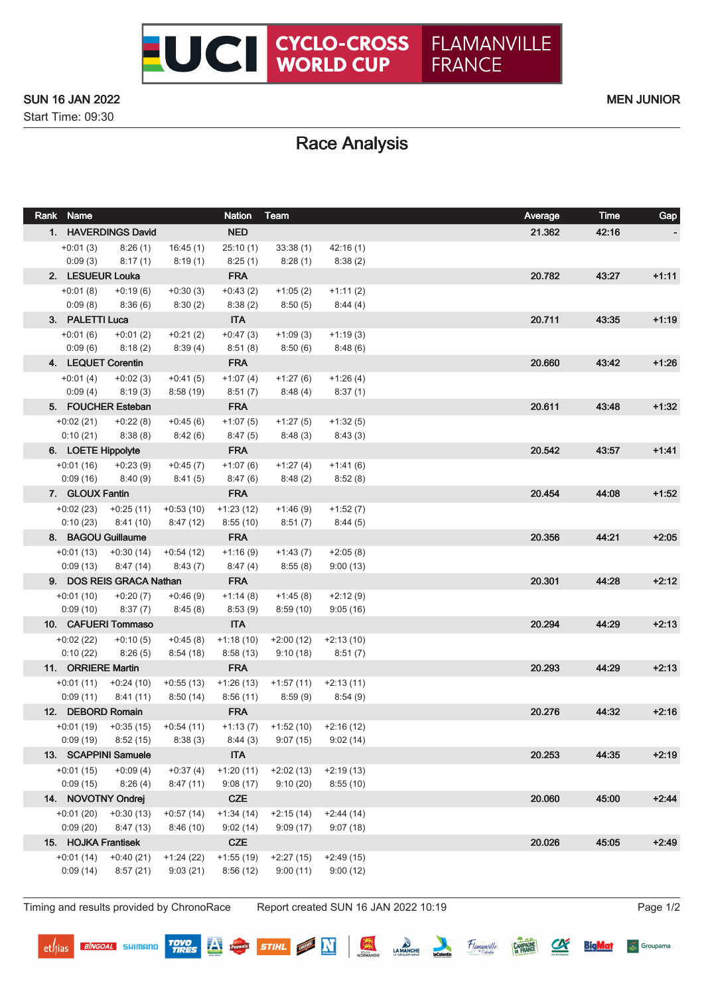

### SUN 16 JAN 2022 MEN JUNIOR

Start Time: 09:30

# Race Analysis

| Rank Name           |                                   |             | <b>Nation</b> | Team                                           |             | Average | Time  | Gap     |
|---------------------|-----------------------------------|-------------|---------------|------------------------------------------------|-------------|---------|-------|---------|
| 1. HAVERDINGS David |                                   |             | <b>NED</b>    |                                                |             | 21.362  | 42:16 |         |
| $+0:01(3)$          | 8:26(1)                           | 16:45(1)    | 25:10(1)      | 33:38(1)                                       | 42:16(1)    |         |       |         |
| 0:09(3)             | 8:17(1)                           | 8:19(1)     | 8:25(1)       | 8:28(1)                                        | 8:38(2)     |         |       |         |
| 2. LESUEUR Louka    |                                   |             | <b>FRA</b>    |                                                |             | 20.782  | 43:27 | $+1:11$ |
| $+0:01(8)$          | $+0.19(6)$                        | $+0:30(3)$  | $+0.43(2)$    | $+1:05(2)$                                     | $+1:11(2)$  |         |       |         |
| 0:09(8)             | 8:36(6)                           | 8:30(2)     | 8:38(2)       | 8:50(5)                                        | 8:44(4)     |         |       |         |
| 3. PALETTI Luca     |                                   |             | <b>ITA</b>    |                                                |             | 20.711  | 43:35 | $+1:19$ |
| $+0:01(6)$          | $+0:01(2)$                        | $+0:21(2)$  | $+0:47(3)$    | $+1:09(3)$                                     | $+1:19(3)$  |         |       |         |
| 0:09(6)             | 8:18(2)                           | 8:39(4)     | 8:51(8)       | 8:50 (6)                                       | 8:48(6)     |         |       |         |
|                     | 4. LEQUET Corentin                |             | <b>FRA</b>    |                                                |             | 20.660  | 43:42 | $+1:26$ |
| $+0:01(4)$          | $+0:02(3)$                        | $+0:41(5)$  | $+1:07(4)$    | $+1:27(6)$                                     | $+1:26(4)$  |         |       |         |
| 0:09(4)             | 8:19(3)                           | 8:58(19)    | 8:51(7)       | 8:48 (4)                                       | 8:37(1)     |         |       |         |
|                     | 5. FOUCHER Esteban                |             | <b>FRA</b>    |                                                |             | 20.611  | 43:48 | $+1:32$ |
| $+0.02(21)$         | $+0:22(8)$                        | $+0.45(6)$  | $+1:07(5)$    | $+1:27(5)$                                     | $+1:32(5)$  |         |       |         |
| 0:10(21)            | 8:38 (8)                          | 8:42 (6)    | 8:47(5)       | 8:48 (3)                                       | 8:43(3)     |         |       |         |
| 6. LOETE Hippolyte  |                                   |             | <b>FRA</b>    |                                                |             | 20.542  | 43:57 | $+1.41$ |
| $+0:01(16)$         | $+0.23(9)$                        | $+0:45(7)$  | $+1:07(6)$    | $+1:27(4)$                                     | $+1:41(6)$  |         |       |         |
| 0:09(16)            | 8:40 (9)                          | 8:41 (5)    | 8:47(6)       | 8:48 (2)                                       | 8:52(8)     |         |       |         |
| 7. GLOUX Fantin     |                                   |             | <b>FRA</b>    |                                                |             | 20.454  | 44.08 | $+1:52$ |
| $+0.02(23)$         | +0:25 (11)                        | $+0.53(10)$ | $+1:23(12)$   | $+1:46(9)$                                     | $+1:52(7)$  |         |       |         |
| 0:10(23)            | 8:41 (10)                         | 8:47(12)    | 8:55(10)      | 8:51(7)                                        | 8:44(5)     |         |       |         |
|                     | 8. BAGOU Guillaume                |             | <b>FRA</b>    |                                                |             | 20.356  | 44:21 | $+2:05$ |
| $+0:01(13)$         | $+0:30(14)$                       | $+0:54(12)$ | $+1:16(9)$    | $+1:43(7)$                                     | $+2:05(8)$  |         |       |         |
| 0:09(13)            | 8:47(14)                          | 8:43(7)     | 8:47(4)       | 8:55(8)                                        | 9:00(13)    |         |       |         |
|                     | 9. DOS REIS GRACA Nathan          |             | <b>FRA</b>    |                                                |             | 20.301  | 44:28 | $+2:12$ |
| $+0:01(10)$         | $+0:20(7)$                        | $+0.46(9)$  | $+1:14(8)$    | $+1:45(8)$                                     | $+2:12(9)$  |         |       |         |
| 0:09(10)            | 8:37(7)                           | 8:45(8)     | 8:53(9)       | 8:59(10)                                       | 9:05(16)    |         |       |         |
|                     | 10. CAFUERI Tommaso               |             | <b>ITA</b>    |                                                |             | 20.294  | 44:29 | $+2:13$ |
| $+0.02(22)$         | $+0:10(5)$                        | $+0.45(8)$  | $+1:18(10)$   | $+2:00(12)$                                    | $+2:13(10)$ |         |       |         |
| 0:10(22)            | 8:26(5)                           | 8:54(18)    | 8:58(13)      | 9:10(18)                                       | 8:51(7)     |         |       |         |
| 11. ORRIERE Martin  |                                   |             | <b>FRA</b>    |                                                |             | 20.293  | 44.29 | $+2:13$ |
| $+0:01(11)$         | $+0:24(10)$                       | $+0:55(13)$ | $+1:26(13)$   | $+1:57(11)$                                    | +2:13 (11)  |         |       |         |
| 0:09(11)            | 8:41(11)                          | 8:50(14)    | 8:56(11)      | 8:59 (9)                                       | 8:54(9)     |         |       |         |
| 12. DEBORD Romain   |                                   |             | <b>FRA</b>    |                                                |             | 20.276  | 44:32 | $+2:16$ |
| 0:09(19)            | $+0:01(19) +0:35(15)$<br>8:52(15) | $+0.54(11)$ | 8:44(3)       | $+1:13(7)$ $+1:52(10)$ $+2:16(12)$<br>9:07(15) |             |         |       |         |
|                     | 13. SCAPPINI Samuele              | 8:38(3)     | <b>ITA</b>    |                                                | 9:02(14)    | 20.253  | 44:35 | $+2:19$ |
| $+0:01(15)$         | $+0.09(4)$                        | $+0:37(4)$  | $+1:20(11)$   | $+2:02(13)$                                    | $+2:19(13)$ |         |       |         |
| 0:09(15)            | 8:26(4)                           | 8:47(11)    | 9:08(17)      | 9:10(20)                                       | 8:55(10)    |         |       |         |
|                     | 14. NOVOTNY Ondrej                |             | <b>CZE</b>    |                                                |             | 20.060  | 45:00 | $+2:44$ |
| $+0:01(20)$         | $+0:30(13)$                       | $+0:57(14)$ | $+1:34(14)$   | $+2:15(14)$                                    | $+2:44(14)$ |         |       |         |
| 0:09(20)            | 8:47(13)                          | 8:46(10)    | 9:02(14)      | 9:09(17)                                       | 9:07(18)    |         |       |         |
| 15. HOJKA Frantisek |                                   |             | <b>CZE</b>    |                                                |             | 20.026  | 45:05 | $+2:49$ |
| $+0:01(14)$         | $+0.40(21)$                       | $+1:24(22)$ | $+1:55(19)$   | $+2:27(15)$                                    | $+2:49(15)$ |         |       |         |
| 0:09(14)            | 8:57(21)                          | 9:03(21)    | 8:56(12)      | 9:00(11)                                       | 9:00(12)    |         |       |         |
|                     |                                   |             |               |                                                |             |         |       |         |

Timing and results provided by ChronoRace Report created SUN 16 JAN 2022 10:19 Page 1/2

**BINGOAL** SHIMANO

**TOYO**<br>TIRES

Pauwels

深

STIHL **N** 

LA MANCHE

Flamanville

 $\alpha$ 

**CAMPAGNE** 

**BigMat** 

Groupama